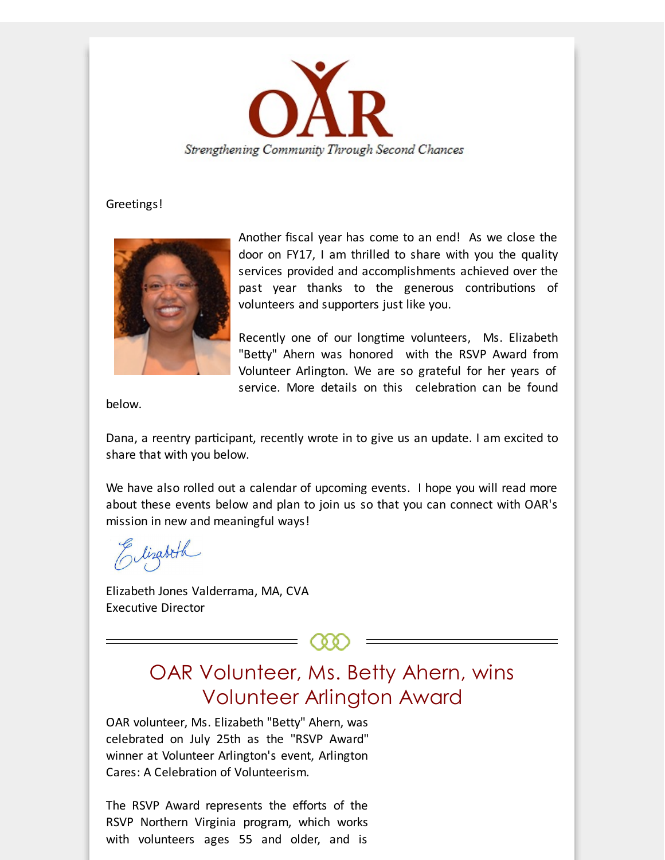

#### Greetings!



Another fiscal year has come to an end! As we close the door on FY17, I am thrilled to share with you the quality services provided and accomplishments achieved over the past year thanks to the generous contributions of volunteers and supporters just like you.

Recently one of our longtime volunteers, Ms. Elizabeth "Betty" Ahern was honored with the RSVP Award from Volunteer Arlington. We are so grateful for her years of service. More details on this celebration can be found

below.

Dana, a reentry participant, recently wrote in to give us an update. I am excited to share that with you below.

We have also rolled out a calendar of upcoming events. I hope you will read more about these events below and plan to join us so that you can connect with OAR's mission in new and meaningful ways!

Elizabeth

Elizabeth Jones Valderrama, MA, CVA Executive Director

## OAR Volunteer, Ms. Betty Ahern, wins Volunteer Arlington Award

OAR volunteer, Ms. Elizabeth "Betty" Ahern, was celebrated on July 25th as the "RSVP Award" winner at Volunteer Arlington's event, Arlington Cares: A Celebration of Volunteerism.

The RSVP Award represents the efforts of the RSVP Northern Virginia program, which works with volunteers ages 55 and older, and is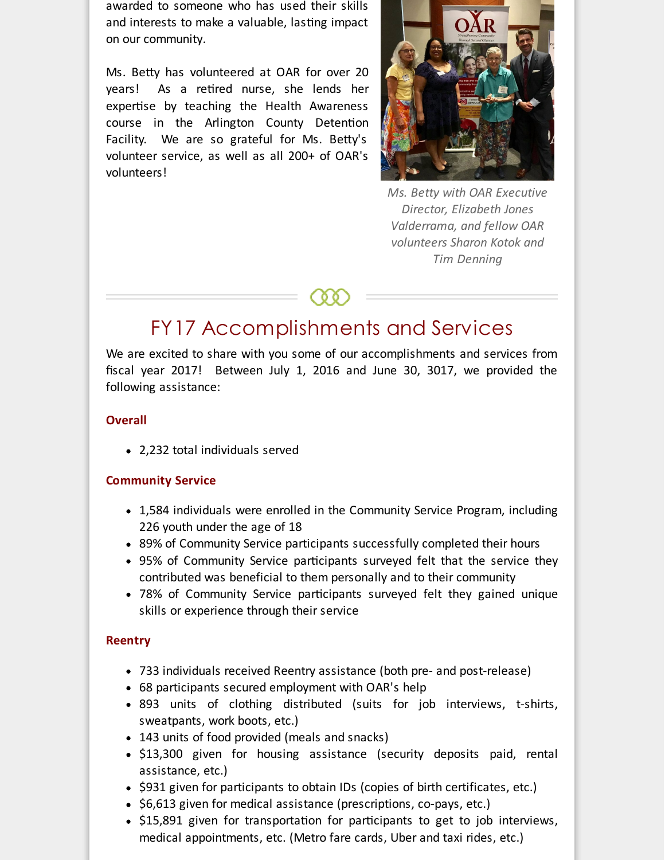awarded to someone who has used their skills and interests to make a valuable, lasting impact on our community.

Ms. Betty has volunteered at OAR for over 20 years! As a retired nurse, she lends her expertise by teaching the Health Awareness course in the Arlington County Detention Facility. We are so grateful for Ms. Betty's volunteer service, as well as all 200+ of OAR's volunteers!



*Ms. Betty with OAR Executive Director, Elizabeth Jones Valderrama, and fellow OAR volunteers Sharon Kotok and Tim Denning*

### FY17 Accomplishments and Services

We are excited to share with you some of our accomplishments and services from fiscal year 2017! Between July 1, 2016 and June 30, 3017, we provided the following assistance:

#### **Overall**

2,232 total individuals served

### **Community Service**

- 1,584 individuals were enrolled in the Community Service Program, including 226 youth under the age of 18
- 89% of Community Service participants successfully completed their hours
- 95% of Community Service participants surveyed felt that the service they contributed was beneficial to them personally and to their community
- 78% of Community Service participants surveyed felt they gained unique skills or experience through their service

#### **Reentry**

- 733 individuals received Reentry assistance (both pre- and post-release)
- 68 participants secured employment with OAR's help
- 893 units of clothing distributed (suits for job interviews, t-shirts, sweatpants, work boots, etc.)
- 143 units of food provided (meals and snacks)
- \$13,300 given for housing assistance (security deposits paid, rental assistance, etc.)
- \$931 given for participants to obtain IDs (copies of birth certificates, etc.)
- $\bullet$  \$6,613 given for medical assistance (prescriptions, co-pays, etc.)
- \$15,891 given for transportation for participants to get to job interviews, medical appointments, etc. (Metro fare cards, Uber and taxi rides, etc.)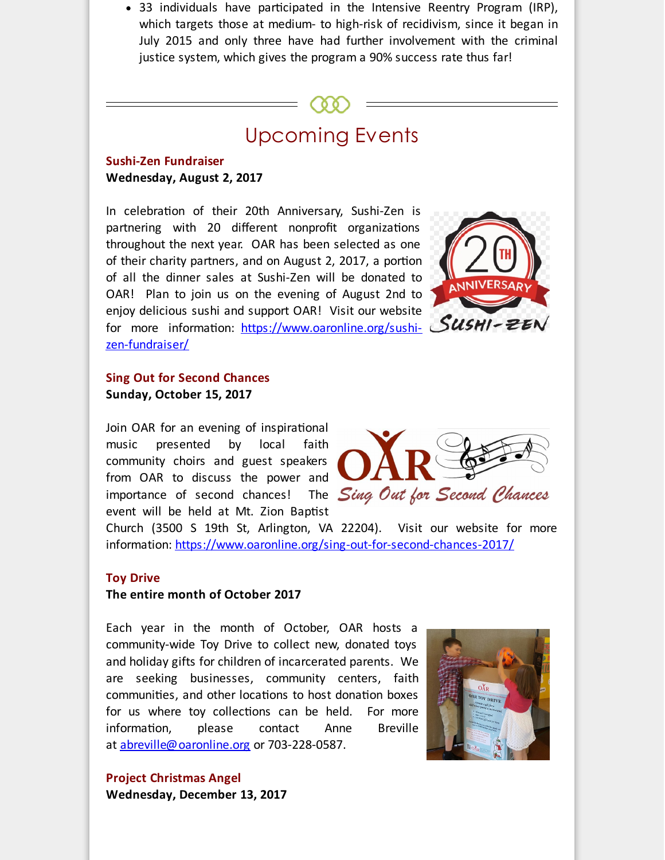$\bullet$  33 individuals have participated in the Intensive Reentry Program (IRP), which targets those at medium- to high-risk of recidivism, since it began in July 2015 and only three have had further involvement with the criminal justice system, which gives the program a 90% success rate thus far!

## Upcoming Events

#### **Sushi-Zen Fundraiser Wednesday, August 2, 2017**

In celebration of their 20th Anniversary, Sushi-Zen is partnering with 20 different nonprofit organizations throughout the next year. OAR has been selected as one of their charity partners, and on August 2, 2017, a portion of all the dinner sales at Sushi-Zen will be donated to OAR! Plan to join us on the evening of August 2nd to enjoy delicious sushi and support OAR! Visit our website for more information: [https://www.oaronline.org/sushi](http://r20.rs6.net/tn.jsp?f=001pwmyeUMPuJ_do-_YR_SFcTPKM_p-TVPtRvxYx0t9BKZw56JBTTgXABNgqHqylzTtlXsfzzrWnOsmQept2x-_p-gQUUfEx-iL86gmZqP89xlumP3zuRtkiEavgk1BsZXc_WlIf6H8-g2KIbjjj48kWcmIEJ39S7tSrjdxIqziunF5gxUgpwsZ8jfG0115HTO7DXe-0k_zeBwG3oA-smjk8Exe_39mzT0zqRk4SVaMvYIYNbAUfdt633J973Duf3b-vWPqDY-QIBd8CG5Cqs_XnHiIS7tdqvnCApMymaI1ia809NPuv3Sr095rT_MCxbvqGdjwNFfW-I3vjOCzPyH3Z6-UfHVseRzg&c=&ch=)zen-fundraiser/



### **Sing Out for Second Chances Sunday, October 15, 2017**

Join OAR for an evening of inspirational music presented by local faith community choirs and guest speakers from OAR to discuss the power and **the Read of Second Chances**<br>importance of second chances! The *Sing Out for Second Chances* importance of second chances! event will be held at Mt. Zion Baptist



Church (3500 S 19th St, Arlington, VA 22204). Visit our website for more information: [https://www.oaronline.org/sing-out-for-second-chances-2017/](http://r20.rs6.net/tn.jsp?f=001pwmyeUMPuJ_do-_YR_SFcTPKM_p-TVPtRvxYx0t9BKZw56JBTTgXABNgqHqylzTtS1dlAixHgilmStnp7tMHJeyKpFx2RDYfjc_DtDDeMOUxdfwa2YTqcjL4PIVysB8cgTzuG0xWUVTB3hWsnWTGFsYrVz21GXJ4X2w3k4d_TQ67XVnzZqWtfGo-jn0OYP0VFtFeolp4RVSXkSLfFSw5QlQXQOaIIVFnEZ9O3YLxEto05TAjfZn-ngB_mgCfPmw2m7bbKhLNFDp9Wm7Qqugr3H70S1KVUbBweWi1h9wyQMHrXJPfy_j1ia7uQ16tQOXBgvNu5Gnj7qzXKEKaoAYw65_n3vF-ykyDmO9J1MTyLIo=&c=&ch=)

#### **Toy Drive**

#### **The entire month of October 2017**

Each year in the month of October, OAR hosts a community-wide Toy Drive to collect new, donated toys and holiday gifts for children of incarcerated parents. We are seeking businesses, community centers, faith communities, and other locations to host donation boxes for us where toy collections can be held. For more information, please contact Anne Breville at [abreville@oaronline.org](mailto:abreville@oaronline.org) or 703-228-0587.



**Project Christmas Angel Wednesday, December 13, 2017**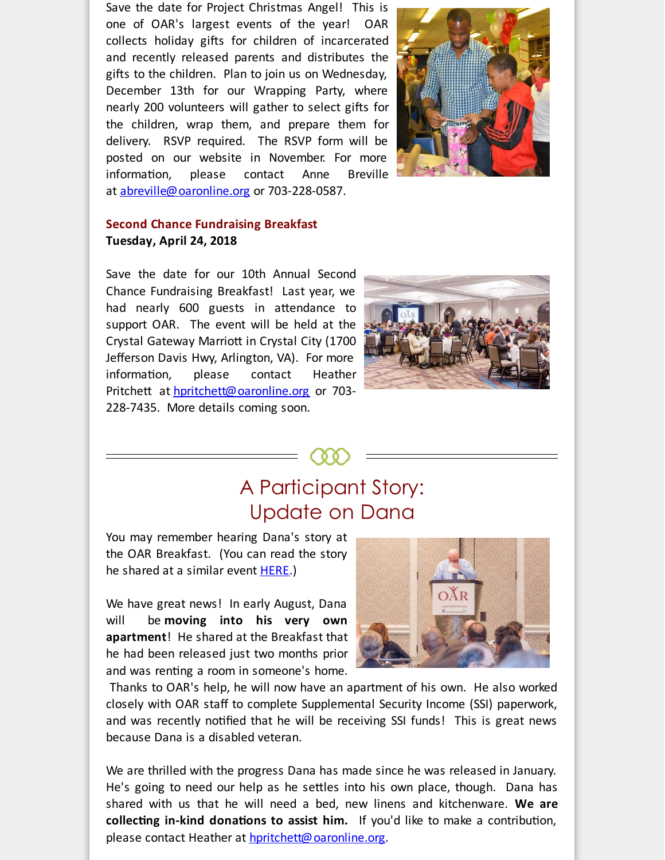Save the date for Project Christmas Angel! This is one of OAR's largest events of the year! OAR collects holiday gifts for children of incarcerated and recently released parents and distributes the gifts to the children. Plan to join us on Wednesday, December 13th for our Wrapping Party, where nearly 200 volunteers will gather to select gifts for the children, wrap them, and prepare them for delivery. RSVP required. The RSVP form will be posted on our website in November. For more information, please contact Anne Breville at [abreville@oaronline.org](mailto:abreville@oaronline.org) or 703-228-0587.



#### **Second Chance Fundraising Breakfast Tuesday, April 24, 2018**

Save the date for our 10th Annual Second Chance Fundraising Breakfast! Last year, we had nearly 600 guests in attendance to support OAR. The event will be held at the Crystal Gateway Marriott in Crystal City (1700 Jefferson Davis Hwy, Arlington, VA). For more information, please contact Heather Pritchett at [hpritchett@oaronline.org](mailto:hpritchett@oaronline.org) or 703-228-7435. More details coming soon.



### A Participant Story: Update on Dana

You may remember hearing Dana's story at the OAR Breakfast. (You can read the story he shared at a similar event **[HERE](http://r20.rs6.net/tn.jsp?f=001pwmyeUMPuJ_do-_YR_SFcTPKM_p-TVPtRvxYx0t9BKZw56JBTTgXABNgqHqylzTtSrQw4OuldPi_uOEH0bUbAu-KDLLjJ_0QYKfSvqDPfKkzD5hal4Zs3RRZaflAQwXOjYW63kRWwR4gCNrnIYJtIyIPR8MDPZhC7fJYoD8-ljkQQ3jzzifenqJiyShpItgetCXfSyGsjLDGM3OrM7S_3cQvEg7BbUuJZZpsh7rQ6aGdVdbwPul-wo5PMog_iiQq98DZ6xj6XHuPyjVCohPLuTgP3Y4U7EGc3iSUX4uU9A5fylGpMnVtq1XYUwbuG_fJdcAG7aqivkvq86ZhiZf5ZufeZHFbGd6xCnWQT2quf7Q=&c=&ch=).**)

We have great news! In early August, Dana will be **moving into his very own apartment**! He shared at the Breakfast that he had been released just two months prior and was renting a room in someone's home.



Thanks to OAR's help, he will now have an apartment of his own. He also worked closely with OAR staff to complete Supplemental Security Income (SSI) paperwork, and was recently notified that he will be receiving SSI funds! This is great news because Dana is a disabled veteran.

We are thrilled with the progress Dana has made since he was released in January. He's going to need our help as he settles into his own place, though. Dana has shared with us that he will need a bed, new linens and kitchenware. **We are collecting in-kind donations to assist him.** If you'd like to make a contribution, please contact Heather at **[hpritchett@oaronline.org](mailto:hpritchett@oaronline.org)**.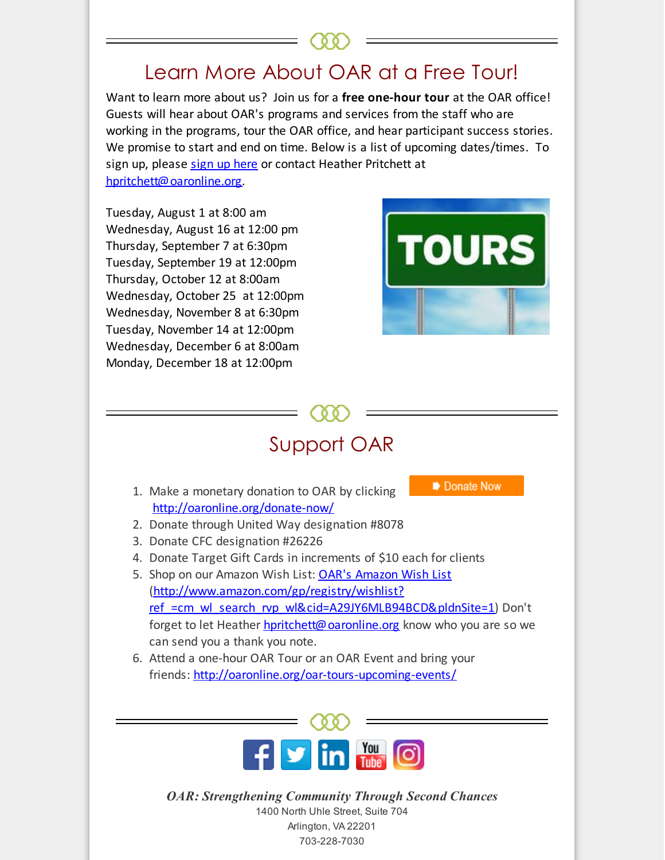# Learn More About OAR at a Free Tourl

Want to learn more about us? Join us for a **free one-hour tour** at the OAR office! Guests will hear about OAR's programs and services from the staff who are working in the programs, tour the OAR office, and hear participant success stories. We promise to start and end on time. Below is a list of upcoming dates/times. To sign up, please sign up [here](http://r20.rs6.net/tn.jsp?f=001pwmyeUMPuJ_do-_YR_SFcTPKM_p-TVPtRvxYx0t9BKZw56JBTTgXAKdRDJbWyccb5PwJdaZ6ydyHDIOuhuDSdHOC2MHAKCL3A4elZe6pIxTKxdr_7yPvdpTPzxiXvn_diBrFprpJRSIvOp8xtz4lVvuJAQlmZQfz3b_ETKoJZoX7YR6pQXdj0T4Su9amkga7UWIrHgBinpEFAgtkU4vY9_E1kW-fGGtdtN44U3Ls60xCEusSyIw3PONwK9He1kAO-osM_TeIxBFCA9GzBrJLsU_LDh7obfWLJYl19BRQ813vCJjWF3giQHatJuqCsDfW4xFL0PWUVW_6jh7ghSyS0mjPWDwnj4tphmj2uBA6PTY=&c=&ch=) or contact Heather Pritchett at [hpritchett@oaronline.org](mailto:hpritchett@oaronline.org).

Tuesday, August 1 at 8:00 am Wednesday, August 16 at 12:00 pm Thursday, September 7 at 6:30pm Tuesday, September 19 at 12:00pm Thursday, October 12 at 8:00am Wednesday, October 25 at 12:00pm Wednesday, November 8 at 6:30pm Tuesday, November 14 at 12:00pm Wednesday, December 6 at 8:00am Monday, December 18 at 12:00pm



# Support OAR

- 1. Make a monetary donation to OAR by clicking [http://oaronline.org/donate-now/](http://r20.rs6.net/tn.jsp?f=001pwmyeUMPuJ_do-_YR_SFcTPKM_p-TVPtRvxYx0t9BKZw56JBTTgXAJXnaQwsNxHNtb8fqGFNp5SuwjQmycn856I0zZ6nDl5qHi_SyEed_e0K3fxEyaPS9Qf4DJDoKNu9eAY6FLVd1mh1Et3hptCapH-5oh7pg86uiKSSWXJC94-KkUw91BzIHNoUInGthCS4NeJqza3Zh2BNM5balZzQ-LNnDhswSBRTHAJTtai62FhGmF6VIklaerPmWeBPBJne8jpF-R7LtgXBycAxKaf9T428wUnPThiCXbnGygCBE4rHsVyrbBhqw5kBxwIu_OOVksmrhXT3SuQ=&c=&ch=)
- Donate Now
- 2. Donate through United Way designation #8078
- 3. Donate CFC designation #26226
- 4. Donate Target Gift Cards in increments of \$10 each for clients
- 5. Shop on our Amazon Wish List: OAR's [Amazon](http://r20.rs6.net/tn.jsp?f=001pwmyeUMPuJ_do-_YR_SFcTPKM_p-TVPtRvxYx0t9BKZw56JBTTgXAJXnaQwsNxHNDqQcJy4RabDJqpHn2Y4VVbFMejI1ud_PTP2xXr8-M8tXGnUVLYIpwfuDp3N7wLKHOum2xS0PH8vUbFCjMUlv50u7XpZQLuihIw3vbiKL3BRZlf6pw0Vx9Q0k3RR_TEzGkeNEvsthfViRjx-2sbFju6CyAs1czyOh5nt-Xt55XKaCIqVKGRLsTi7uFjCm_JD_dHzguL1OLcbuFYKa-_cNbNTy2S-xNAmZrg5p1xMZoFovfQWlyjKy8dCK9LgJhALePLa5nFpAZ87N4DsNLUmB69wweerr9izPb9t1JrUm4P3djCbR6tGkzZ89F5js6y2SbsfGFxg-xupFO5ruyEoLDAd2Xpa_B8H7MqYU8W5B8vfimAGIHeqU1Q==&c=&ch=) Wish List (http://www.amazon.com/gp/registry/wishlist? ref =cm\_wl\_search\_rvp\_wl&cid=A29JY6MLB94BCD&pldnSite=1) Don't forget to let Heather [hpritchett@oaronline.org](mailto:hpritchett@oaronline.org) know who you are so we can send you a thank you note.
- 6. Attend a one-hour OAR Tour or an OAR Event and bring your friends: [http://oaronline.org/oar-tours-upcoming-events/](http://r20.rs6.net/tn.jsp?f=001pwmyeUMPuJ_do-_YR_SFcTPKM_p-TVPtRvxYx0t9BKZw56JBTTgXAM0NfanTkrlagdzT1ArGfBU5QrC2cfm4WpyrWwAmqud344vKdOjsNZ6mfFArDQDpV3Tz3mVS0oIkHorZi1oBrbaleP7GFd-2zonZ4nH1YGsExhOfyts_m2-tsMjntehV9h03N5OyjDdx3hUX8p0RU1YbZTbRPx6KiJ4GVSJko19wogdBM3rS97WHWd3weEXNyyYFdVhjeh1U_Gz_we8w2S69Nr5MyEOIcaZG0MY2rSK6uWMwgQ7CjJuSD8GiHoO9yhQJwieBnyvECD2RgCGwfmiBtLzM2sIoGby_sPba5b02&c=&ch=)



*OAR: Strengthening Community Through Second Chances* 1400 North Uhle Street, Suite 704 Arlington, VA 22201 703-228-7030